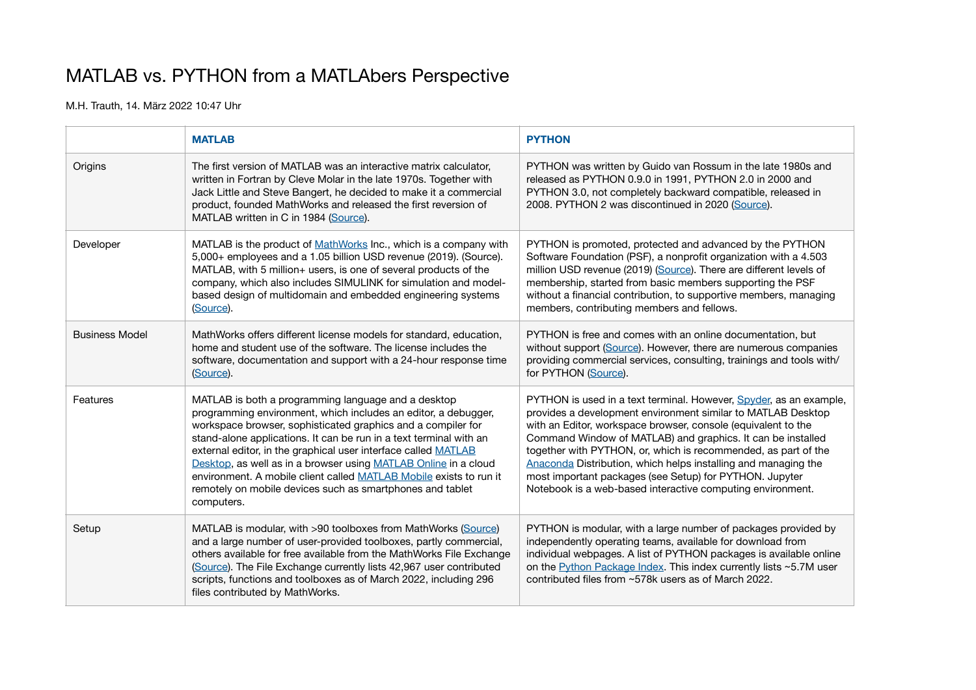## MATLAB vs. PYTHON from a MATLAbers Perspective

M.H. Trauth, 14. März 2022 10:47 Uhr

|                       | <b>MATLAB</b>                                                                                                                                                                                                                                                                                                                                                                                                                                                                                                                                     | <b>PYTHON</b>                                                                                                                                                                                                                                                                                                                                                                                                                                                                                                                   |
|-----------------------|---------------------------------------------------------------------------------------------------------------------------------------------------------------------------------------------------------------------------------------------------------------------------------------------------------------------------------------------------------------------------------------------------------------------------------------------------------------------------------------------------------------------------------------------------|---------------------------------------------------------------------------------------------------------------------------------------------------------------------------------------------------------------------------------------------------------------------------------------------------------------------------------------------------------------------------------------------------------------------------------------------------------------------------------------------------------------------------------|
| Origins               | The first version of MATLAB was an interactive matrix calculator.<br>written in Fortran by Cleve Molar in the late 1970s. Together with<br>Jack Little and Steve Bangert, he decided to make it a commercial<br>product, founded MathWorks and released the first reversion of<br>MATLAB written in C in 1984 (Source).                                                                                                                                                                                                                           | PYTHON was written by Guido van Rossum in the late 1980s and<br>released as PYTHON 0.9.0 in 1991, PYTHON 2.0 in 2000 and<br>PYTHON 3.0, not completely backward compatible, released in<br>2008. PYTHON 2 was discontinued in 2020 (Source).                                                                                                                                                                                                                                                                                    |
| Developer             | MATLAB is the product of MathWorks Inc., which is a company with<br>5,000+ employees and a 1.05 billion USD revenue (2019). (Source).<br>MATLAB, with 5 million+ users, is one of several products of the<br>company, which also includes SIMULINK for simulation and model-<br>based design of multidomain and embedded engineering systems<br>(Source).                                                                                                                                                                                         | PYTHON is promoted, protected and advanced by the PYTHON<br>Software Foundation (PSF), a nonprofit organization with a 4.503<br>million USD revenue (2019) (Source). There are different levels of<br>membership, started from basic members supporting the PSF<br>without a financial contribution, to supportive members, managing<br>members, contributing members and fellows.                                                                                                                                              |
| <b>Business Model</b> | MathWorks offers different license models for standard, education,<br>home and student use of the software. The license includes the<br>software, documentation and support with a 24-hour response time<br>(Source).                                                                                                                                                                                                                                                                                                                             | PYTHON is free and comes with an online documentation, but<br>without support (Source). However, there are numerous companies<br>providing commercial services, consulting, trainings and tools with/<br>for PYTHON (Source).                                                                                                                                                                                                                                                                                                   |
| Features              | MATLAB is both a programming language and a desktop<br>programming environment, which includes an editor, a debugger,<br>workspace browser, sophisticated graphics and a compiler for<br>stand-alone applications. It can be run in a text terminal with an<br>external editor, in the graphical user interface called MATLAB<br>Desktop, as well as in a browser using MATLAB Online in a cloud<br>environment. A mobile client called MATLAB Mobile exists to run it<br>remotely on mobile devices such as smartphones and tablet<br>computers. | PYTHON is used in a text terminal. However, Spyder, as an example,<br>provides a development environment similar to MATLAB Desktop<br>with an Editor, workspace browser, console (equivalent to the<br>Command Window of MATLAB) and graphics. It can be installed<br>together with PYTHON, or, which is recommended, as part of the<br>Anaconda Distribution, which helps installing and managing the<br>most important packages (see Setup) for PYTHON. Jupyter<br>Notebook is a web-based interactive computing environment. |
| Setup                 | MATLAB is modular, with >90 toolboxes from MathWorks (Source)<br>and a large number of user-provided toolboxes, partly commercial,<br>others available for free available from the MathWorks File Exchange<br>(Source). The File Exchange currently lists 42,967 user contributed<br>scripts, functions and toolboxes as of March 2022, including 296<br>files contributed by MathWorks.                                                                                                                                                          | PYTHON is modular, with a large number of packages provided by<br>independently operating teams, available for download from<br>individual webpages. A list of PYTHON packages is available online<br>on the Python Package Index. This index currently lists ~5.7M user<br>contributed files from ~578k users as of March 2022.                                                                                                                                                                                                |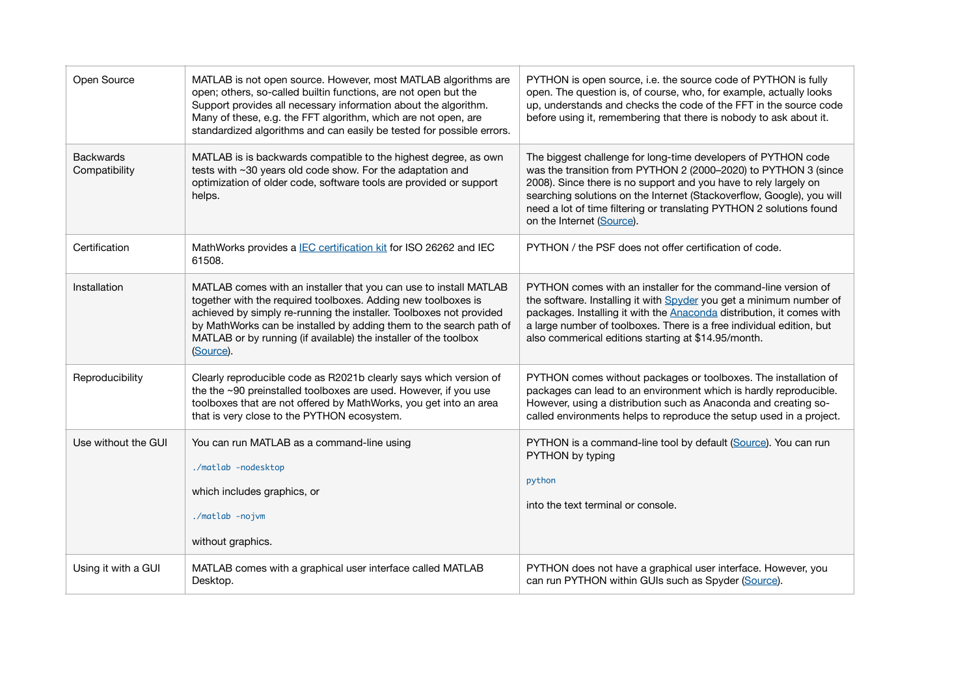| Open Source                       | MATLAB is not open source. However, most MATLAB algorithms are<br>open; others, so-called builtin functions, are not open but the<br>Support provides all necessary information about the algorithm.<br>Many of these, e.g. the FFT algorithm, which are not open, are<br>standardized algorithms and can easily be tested for possible errors.                  | PYTHON is open source, i.e. the source code of PYTHON is fully<br>open. The question is, of course, who, for example, actually looks<br>up, understands and checks the code of the FFT in the source code<br>before using it, remembering that there is nobody to ask about it.                                                                                                    |
|-----------------------------------|------------------------------------------------------------------------------------------------------------------------------------------------------------------------------------------------------------------------------------------------------------------------------------------------------------------------------------------------------------------|------------------------------------------------------------------------------------------------------------------------------------------------------------------------------------------------------------------------------------------------------------------------------------------------------------------------------------------------------------------------------------|
| <b>Backwards</b><br>Compatibility | MATLAB is is backwards compatible to the highest degree, as own<br>tests with ~30 years old code show. For the adaptation and<br>optimization of older code, software tools are provided or support<br>helps.                                                                                                                                                    | The biggest challenge for long-time developers of PYTHON code<br>was the transition from PYTHON 2 (2000-2020) to PYTHON 3 (since<br>2008). Since there is no support and you have to rely largely on<br>searching solutions on the Internet (Stackoverflow, Google), you will<br>need a lot of time filtering or translating PYTHON 2 solutions found<br>on the Internet (Source). |
| Certification                     | MathWorks provides a IEC certification kit for ISO 26262 and IEC<br>61508.                                                                                                                                                                                                                                                                                       | PYTHON / the PSF does not offer certification of code.                                                                                                                                                                                                                                                                                                                             |
| Installation                      | MATLAB comes with an installer that you can use to install MATLAB<br>together with the required toolboxes. Adding new toolboxes is<br>achieved by simply re-running the installer. Toolboxes not provided<br>by MathWorks can be installed by adding them to the search path of<br>MATLAB or by running (if available) the installer of the toolbox<br>(Source). | PYTHON comes with an installer for the command-line version of<br>the software. Installing it with Spyder you get a minimum number of<br>packages. Installing it with the Anaconda distribution, it comes with<br>a large number of toolboxes. There is a free individual edition, but<br>also commerical editions starting at \$14.95/month.                                      |
| Reproducibility                   | Clearly reproducible code as R2021b clearly says which version of<br>the the ~90 preinstalled toolboxes are used. However, if you use<br>toolboxes that are not offered by MathWorks, you get into an area<br>that is very close to the PYTHON ecosystem.                                                                                                        | PYTHON comes without packages or toolboxes. The installation of<br>packages can lead to an environment which is hardly reproducible.<br>However, using a distribution such as Anaconda and creating so-<br>called environments helps to reproduce the setup used in a project.                                                                                                     |
| Use without the GUI               | You can run MATLAB as a command-line using<br>./matlab -nodesktop<br>which includes graphics, or<br>./matlab -nojvm<br>without graphics.                                                                                                                                                                                                                         | PYTHON is a command-line tool by default (Source). You can run<br>PYTHON by typing<br>python<br>into the text terminal or console.                                                                                                                                                                                                                                                 |
| Using it with a GUI               | MATLAB comes with a graphical user interface called MATLAB<br>Desktop.                                                                                                                                                                                                                                                                                           | PYTHON does not have a graphical user interface. However, you<br>can run PYTHON within GUIs such as Spyder (Source).                                                                                                                                                                                                                                                               |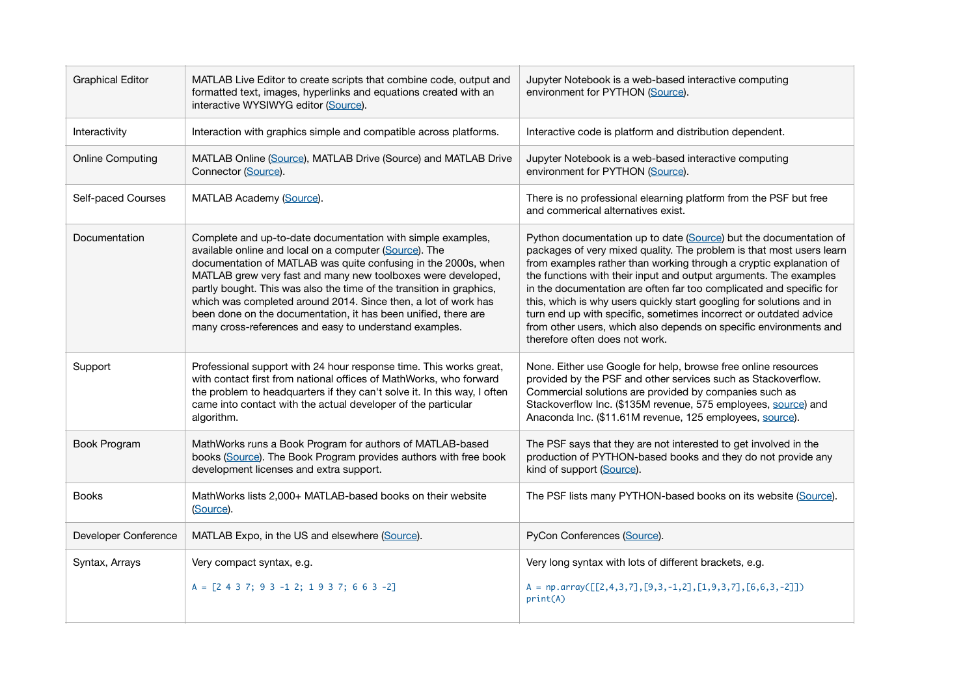| <b>Graphical Editor</b> | MATLAB Live Editor to create scripts that combine code, output and<br>formatted text, images, hyperlinks and equations created with an<br>interactive WYSIWYG editor (Source).                                                                                                                                                                                                                                                                                                                                                | Jupyter Notebook is a web-based interactive computing<br>environment for PYTHON (Source).                                                                                                                                                                                                                                                                                                                                                                                                                                                                                                                       |
|-------------------------|-------------------------------------------------------------------------------------------------------------------------------------------------------------------------------------------------------------------------------------------------------------------------------------------------------------------------------------------------------------------------------------------------------------------------------------------------------------------------------------------------------------------------------|-----------------------------------------------------------------------------------------------------------------------------------------------------------------------------------------------------------------------------------------------------------------------------------------------------------------------------------------------------------------------------------------------------------------------------------------------------------------------------------------------------------------------------------------------------------------------------------------------------------------|
| Interactivity           | Interaction with graphics simple and compatible across platforms.                                                                                                                                                                                                                                                                                                                                                                                                                                                             | Interactive code is platform and distribution dependent.                                                                                                                                                                                                                                                                                                                                                                                                                                                                                                                                                        |
| <b>Online Computing</b> | MATLAB Online (Source), MATLAB Drive (Source) and MATLAB Drive<br>Connector (Source).                                                                                                                                                                                                                                                                                                                                                                                                                                         | Jupyter Notebook is a web-based interactive computing<br>environment for PYTHON (Source).                                                                                                                                                                                                                                                                                                                                                                                                                                                                                                                       |
| Self-paced Courses      | MATLAB Academy (Source).                                                                                                                                                                                                                                                                                                                                                                                                                                                                                                      | There is no professional elearning platform from the PSF but free<br>and commerical alternatives exist.                                                                                                                                                                                                                                                                                                                                                                                                                                                                                                         |
| Documentation           | Complete and up-to-date documentation with simple examples,<br>available online and local on a computer (Source). The<br>documentation of MATLAB was quite confusing in the 2000s, when<br>MATLAB grew very fast and many new toolboxes were developed,<br>partly bought. This was also the time of the transition in graphics,<br>which was completed around 2014. Since then, a lot of work has<br>been done on the documentation, it has been unified, there are<br>many cross-references and easy to understand examples. | Python documentation up to date (Source) but the documentation of<br>packages of very mixed quality. The problem is that most users learn<br>from examples rather than working through a cryptic explanation of<br>the functions with their input and output arguments. The examples<br>in the documentation are often far too complicated and specific for<br>this, which is why users quickly start googling for solutions and in<br>turn end up with specific, sometimes incorrect or outdated advice<br>from other users, which also depends on specific environments and<br>therefore often does not work. |
| Support                 | Professional support with 24 hour response time. This works great,<br>with contact first from national offices of MathWorks, who forward<br>the problem to headquarters if they can't solve it. In this way, I often<br>came into contact with the actual developer of the particular<br>algorithm.                                                                                                                                                                                                                           | None. Either use Google for help, browse free online resources<br>provided by the PSF and other services such as Stackoverflow.<br>Commercial solutions are provided by companies such as<br>Stackoverflow Inc. (\$135M revenue, 575 employees, source) and<br>Anaconda Inc. (\$11.61M revenue, 125 employees, source).                                                                                                                                                                                                                                                                                         |
| Book Program            | MathWorks runs a Book Program for authors of MATLAB-based<br>books (Source). The Book Program provides authors with free book<br>development licenses and extra support.                                                                                                                                                                                                                                                                                                                                                      | The PSF says that they are not interested to get involved in the<br>production of PYTHON-based books and they do not provide any<br>kind of support (Source).                                                                                                                                                                                                                                                                                                                                                                                                                                                   |
| <b>Books</b>            | MathWorks lists 2,000+ MATLAB-based books on their website<br>(Source).                                                                                                                                                                                                                                                                                                                                                                                                                                                       | The PSF lists many PYTHON-based books on its website (Source).                                                                                                                                                                                                                                                                                                                                                                                                                                                                                                                                                  |
| Developer Conference    | MATLAB Expo, in the US and elsewhere (Source).                                                                                                                                                                                                                                                                                                                                                                                                                                                                                | PyCon Conferences (Source).                                                                                                                                                                                                                                                                                                                                                                                                                                                                                                                                                                                     |
| Syntax, Arrays          | Very compact syntax, e.g.                                                                                                                                                                                                                                                                                                                                                                                                                                                                                                     | Very long syntax with lots of different brackets, e.g.                                                                                                                                                                                                                                                                                                                                                                                                                                                                                                                                                          |
|                         | $A = [2 4 3 7; 9 3 -1 2; 1 9 3 7; 6 6 3 -2]$                                                                                                                                                                                                                                                                                                                                                                                                                                                                                  | $A = np.array([\lbrack 2, 4, 3, 7], \lbrack 9, 3, -1, 2], \lbrack 1, 9, 3, 7], \lbrack 6, 6, 3, -2 \rbrack]$<br>print(A)                                                                                                                                                                                                                                                                                                                                                                                                                                                                                        |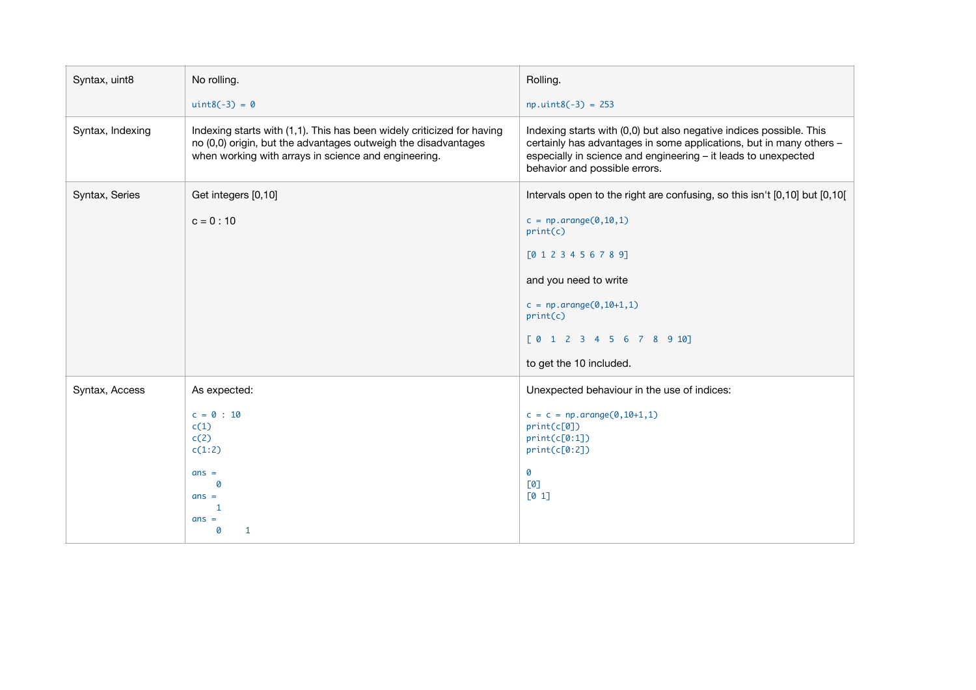| Syntax, uint8    | No rolling.                                                                                                                                                                                      | Rolling.                                                                                                                                                                                                                                      |
|------------------|--------------------------------------------------------------------------------------------------------------------------------------------------------------------------------------------------|-----------------------------------------------------------------------------------------------------------------------------------------------------------------------------------------------------------------------------------------------|
|                  | $uint8(-3) = 0$                                                                                                                                                                                  | $np.uint8(-3) = 253$                                                                                                                                                                                                                          |
| Syntax, Indexing | Indexing starts with (1,1). This has been widely criticized for having<br>no (0,0) origin, but the advantages outweigh the disadvantages<br>when working with arrays in science and engineering. | Indexing starts with (0,0) but also negative indices possible. This<br>certainly has advantages in some applications, but in many others -<br>especially in science and engineering - it leads to unexpected<br>behavior and possible errors. |
| Syntax, Series   | Get integers [0,10]                                                                                                                                                                              | Intervals open to the right are confusing, so this isn't [0,10] but [0,10]                                                                                                                                                                    |
|                  | $c = 0:10$                                                                                                                                                                                       | $c = np.arange(0, 10, 1)$<br>print(c)                                                                                                                                                                                                         |
|                  |                                                                                                                                                                                                  | [0 1 2 3 4 5 6 7 8 9]                                                                                                                                                                                                                         |
|                  |                                                                                                                                                                                                  | and you need to write                                                                                                                                                                                                                         |
|                  |                                                                                                                                                                                                  | $c = np.arange(0, 10+1, 1)$<br>print(c)                                                                                                                                                                                                       |
|                  |                                                                                                                                                                                                  | [0 1 2 3 4 5 6 7 8 9 10]                                                                                                                                                                                                                      |
|                  |                                                                                                                                                                                                  | to get the 10 included.                                                                                                                                                                                                                       |
| Syntax, Access   | As expected:                                                                                                                                                                                     | Unexpected behaviour in the use of indices:                                                                                                                                                                                                   |
|                  | $c = 0 : 10$<br>c(1)<br>c(2)<br>c(1:2)                                                                                                                                                           | $c = c = np.arange(0, 10+1, 1)$<br>print(c[0])<br>print(c[0:1])<br>print(c[0:2])                                                                                                                                                              |
|                  | $ans =$<br>0<br>$ans =$<br>1<br>$ans =$<br>$\mathbf{1}$<br>0                                                                                                                                     | 0<br>[0]<br>[0 1]                                                                                                                                                                                                                             |